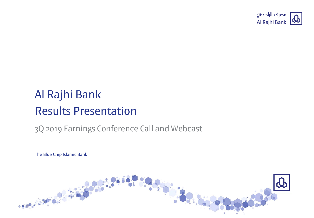

# Al Rajhi Bank Results Presentation

### 3Q 2019 Earnings Conference Call and Webcast

The Blue Chip Islamic Bank

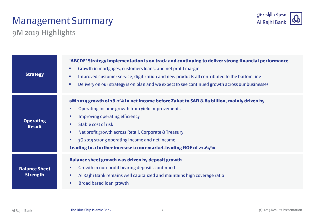### Management Summary



9M 2019 Highlights

| <b>Strategy</b>                         | 'ABCDE' Strategy implementation is on track and continuing to deliver strong financial performance<br>Growth in mortgages, customers loans, and net profit margin<br>$\mathcal{L}_{\mathcal{A}}$<br>Improved customer service, digitization and new products all contributed to the bottom line<br>$\overline{\phantom{a}}$<br>Delivery on our strategy is on plan and we expect to see continued growth across our businesses<br>$\mathcal{L}_{\mathcal{A}}$                                                                         |
|-----------------------------------------|---------------------------------------------------------------------------------------------------------------------------------------------------------------------------------------------------------------------------------------------------------------------------------------------------------------------------------------------------------------------------------------------------------------------------------------------------------------------------------------------------------------------------------------|
| <b>Operating</b><br><b>Result</b>       | 9M 2019 growth of 18.2% in net income before Zakat to SAR 8.89 billion, mainly driven by<br>Operating income growth from yield improvements<br><b>COL</b><br>Improving operating efficiency<br>$\mathcal{L}_{\mathcal{A}}$<br><b>Stable cost of risk</b><br>$\mathcal{L}_{\mathcal{A}}$<br>Net profit growth across Retail, Corporate & Treasury<br>$\mathcal{L}_{\mathcal{A}}$<br>3Q 2019 strong operating income and net income<br>$\mathcal{L}_{\mathcal{A}}$<br>Leading to a further increase to our market-leading ROE of 21.64% |
| <b>Balance Sheet</b><br><b>Strength</b> | <b>Balance sheet growth was driven by deposit growth</b><br>Growth in non-profit bearing deposits continued<br><b>CO</b><br>Al Rajhi Bank remains well capitalized and maintains high coverage ratio<br>$\overline{\phantom{a}}$<br><b>Broad based loan growth</b><br>$\mathcal{L}_{\mathcal{A}}$                                                                                                                                                                                                                                     |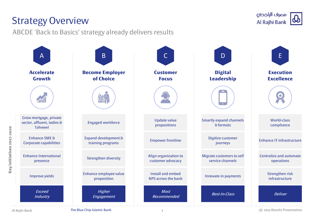### Strategy Overview

ABCDE 'Back to Basics' strategy already delivers results



**Key initiatives 2017-2020**

Key initiatives 2017-2020

مصرف الراجحى Al Rajhi Bank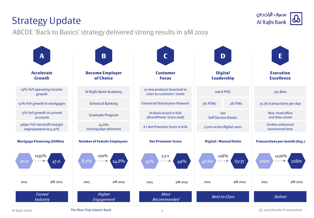# Strategy Update

ABCDE 'Back to Basics' strategy delivered strong results in 9M 2019



مصرف الراجحى Al Rajhi Bank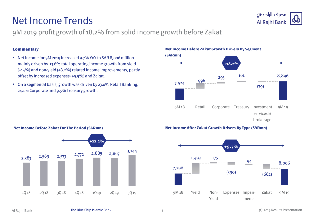### Net Income Trends



9M 2019 profit growth of 18.2% from solid income growth before Zakat

#### **Commentary**

- Net income for 9M 2019 increased 9.7% YoY to SAR 8,006 million mainly driven by 13.6% total operating income growth from yield (+14%) and non-yield (+8.2%) related income improvements, partly offset by increased expenses (+9.5%) and Zakat.
- On a segmental basis, growth was driven by 23.0% Retail Banking, 24.1% Corporate and 9.5% Treasury growth.

**Net Income Before Zakat Growth Drivers By Segment** 



#### **Net Income After Zakat Growth Drivers By Type (SARmn)**



#### **Net Income Before Zakat For The Period (SARmn)**

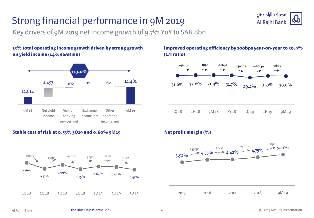## Strong financial performance in 9M 2019



Key drivers of 9M 2019 net income growth of 9.7% YoY to SAR 8bn

**13% total operating income growth driven by strong growth on yield income (14%)(SARmn)**



#### **Stable cost of risk at 0.53% 3Q19 and 0.60% 9M19 Net profit margin (%)**



#### **Improved operating efficiency by 100bps year-on-year to 30.9% (C/I ratio)**



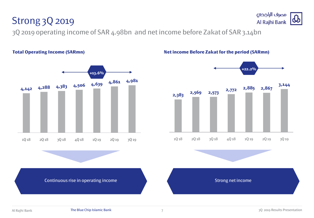### Strong 3Q 2019

3Q 2019 operating income of SAR 4.98bn and net income before Zakat of SAR 3.14bn



#### **Total Operating Income (SARmn) Net income Before Zakat for the period (SARmn)**



Continuous rise in operating income Strong net income Strong net income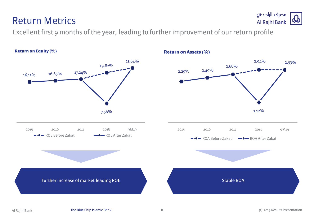# **Return on Equity (%)**



Excellent first 9 months of the year, leading to further improvement of our return profile

**Return on Assets (%)**

### Return Metrics

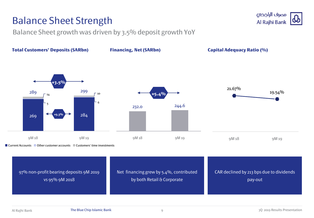### Balance Sheet Strength

Balance Sheet growth was driven by 3.5% deposit growth YoY



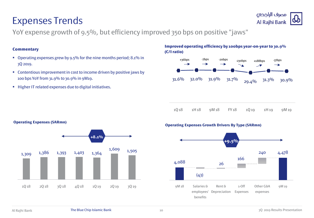### Expenses Trends

**Operating Expenses (SARmn)**

YoY expense growth of 9.5%, but efficiency improved 350 bps on positive "jaws"

#### **Commentary**

- Operating expenses grew by 9.5% for the nine months period; 8.1% in 3Q 2019.
- **Contentious improvement in cost to income driven by positive jaws by** 100 bps YoY from 31.9% to 30.9% in 9M19.
- Higher IT related expenses due to digital initiatives.





|  | 1Q18 1H18 9M18 FY18 1Q19 1H19 9M19 |  |  |
|--|------------------------------------|--|--|
|  |                                    |  |  |



#### **Operating Expenses Growth Drivers By Type (SARmn)**

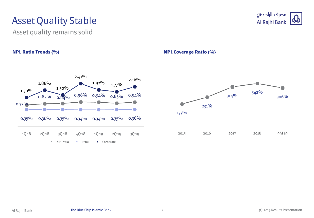### Asset Quality Stable

Asset quality remains solid

#### **NPL Ratio Trends (%) NPL Coverage Ratio (%)**





مصرف الراجحي

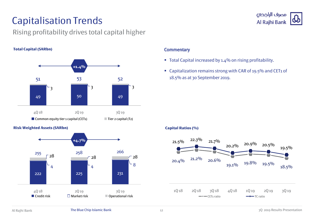### Capitalisation Trends

#### Rising profitability drives total capital higher

#### **Total Capital (SARbn)**



#### **Risk Weighted Assets (SARbn)**



#### **Commentary**

- Total Capital increased by 1.4% on rising profitability.
- Capitalization remains strong with CAR of 19.5% and CET1 of 18.5% as at 30 September 2019.

#### **Capital Ratios (%)**



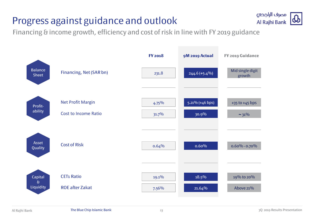### Progress against guidance and outlook



Financing & income growth, efficiency and cost of risk in line with FY 2019 guidance

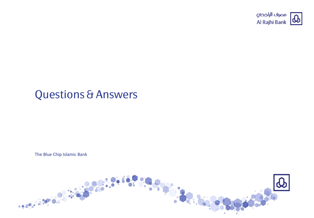

## Questions & Answers

The Blue Chip Islamic Bank

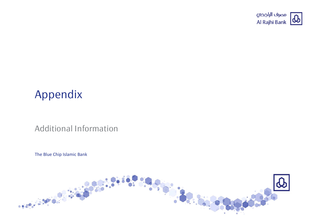

## Appendix

#### Additional Information

The Blue Chip Islamic Bank

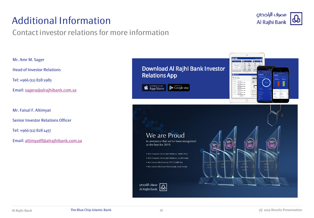### Additional Information

#### Contact investor relations for more information



Mr. Amr M. Sager

Head of Investor Relations

Tel: +966 (11) 828 1985

Email: [sagera@alrajhibank.com.sa](mailto:sagera@alrajhibank.com.sa)

Mr. Faisal F. Altimyat

Senior Investor Relations Officer

Tel: +966 (11) 828 1457

Email: [altimyatff@alrajhibank.com.sa](mailto:altimyatff@alrajhibank.com.sa)